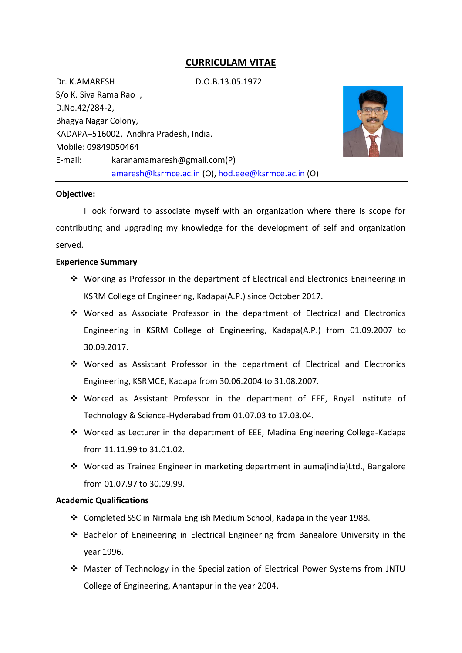# **CURRICULAM VITAE**

Dr. K.AMARESH D.O.B.13.05.1972

S/o K. Siva Rama Rao , D.No.42/284-2, Bhagya Nagar Colony, KADAPA–516002, Andhra Pradesh, India. Mobile: 09849050464 E-mail: karanamamaresh@gmail.com(P) [amaresh@ksrmce.ac.in](mailto:amaresh@ksrmce.ac.in) (O), [hod.eee@ksrmce.ac.in](mailto:hod.eee@ksrmce.ac.in) (O)



### **Objective:**

I look forward to associate myself with an organization where there is scope for contributing and upgrading my knowledge for the development of self and organization served.

## **Experience Summary**

- Working as Professor in the department of Electrical and Electronics Engineering in KSRM College of Engineering, Kadapa(A.P.) since October 2017.
- Worked as Associate Professor in the department of Electrical and Electronics Engineering in KSRM College of Engineering, Kadapa(A.P.) from 01.09.2007 to 30.09.2017.
- Worked as Assistant Professor in the department of Electrical and Electronics Engineering, KSRMCE, Kadapa from 30.06.2004 to 31.08.2007.
- Worked as Assistant Professor in the department of EEE, Royal Institute of Technology & Science-Hyderabad from 01.07.03 to 17.03.04.
- Worked as Lecturer in the department of EEE, Madina Engineering College-Kadapa from 11.11.99 to 31.01.02.
- Worked as Trainee Engineer in marketing department in auma(india)Ltd., Bangalore from 01.07.97 to 30.09.99.

### **Academic Qualifications**

- Completed SSC in Nirmala English Medium School, Kadapa in the year 1988.
- $\div$  Bachelor of Engineering in Electrical Engineering from Bangalore University in the year 1996.
- Master of Technology in the Specialization of Electrical Power Systems from JNTU College of Engineering, Anantapur in the year 2004.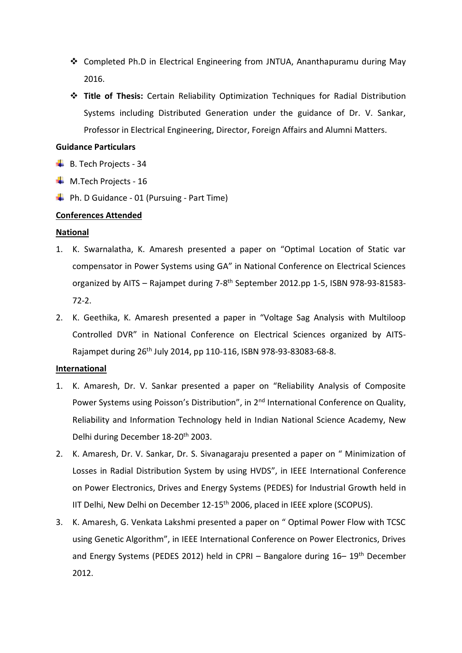- Completed Ph.D in Electrical Engineering from JNTUA, Ananthapuramu during May 2016.
- **Title of Thesis:** Certain Reliability Optimization Techniques for Radial Distribution Systems including Distributed Generation under the guidance of Dr. V. Sankar, Professor in Electrical Engineering, Director, Foreign Affairs and Alumni Matters.

## **Guidance Particulars**

- $\overline{\phantom{a}}$  B. Tech Projects 34
- $\textcolor{red}{\bullet}$  M.Tech Projects 16
- $\downarrow$  Ph. D Guidance 01 (Pursuing Part Time)

# **Conferences Attended**

# **National**

- 1. K. Swarnalatha, K. Amaresh presented a paper on "Optimal Location of Static var compensator in Power Systems using GA" in National Conference on Electrical Sciences organized by AITS - Rajampet during 7-8<sup>th</sup> September 2012.pp 1-5, ISBN 978-93-81583-72-2.
- 2. K. Geethika, K. Amaresh presented a paper in "Voltage Sag Analysis with Multiloop Controlled DVR" in National Conference on Electrical Sciences organized by AITS-Rajampet during 26th July 2014, pp 110-116, ISBN 978-93-83083-68-8.

# **International**

- 1. K. Amaresh, Dr. V. Sankar presented a paper on "Reliability Analysis of Composite Power Systems using Poisson's Distribution", in 2<sup>nd</sup> International Conference on Quality, Reliability and Information Technology held in Indian National Science Academy, New Delhi during December 18-20<sup>th</sup> 2003.
- 2. K. Amaresh, Dr. V. Sankar, Dr. S. Sivanagaraju presented a paper on " Minimization of Losses in Radial Distribution System by using HVDS", in IEEE International Conference on Power Electronics, Drives and Energy Systems (PEDES) for Industrial Growth held in IIT Delhi, New Delhi on December 12-15<sup>th</sup> 2006, placed in IEEE xplore (SCOPUS).
- 3. K. Amaresh, G. Venkata Lakshmi presented a paper on " Optimal Power Flow with TCSC using Genetic Algorithm", in IEEE International Conference on Power Electronics, Drives and Energy Systems (PEDES 2012) held in CPRI - Bangalore during 16-19<sup>th</sup> December 2012.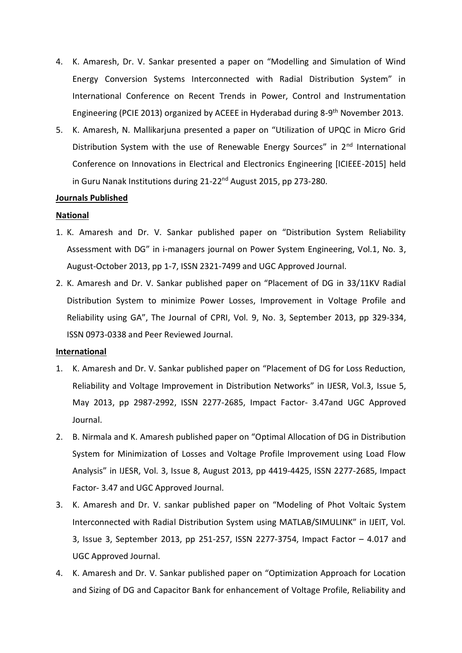- 4. K. Amaresh, Dr. V. Sankar presented a paper on "Modelling and Simulation of Wind Energy Conversion Systems Interconnected with Radial Distribution System" in International Conference on Recent Trends in Power, Control and Instrumentation Engineering (PCIE 2013) organized by ACEEE in Hyderabad during 8-9<sup>th</sup> November 2013.
- 5. K. Amaresh, N. Mallikarjuna presented a paper on "Utilization of UPQC in Micro Grid Distribution System with the use of Renewable Energy Sources" in 2<sup>nd</sup> International Conference on Innovations in Electrical and Electronics Engineering [ICIEEE-2015] held in Guru Nanak Institutions during 21-22<sup>nd</sup> August 2015, pp 273-280.

# **Journals Published**

## **National**

- 1. K. Amaresh and Dr. V. Sankar published paper on "Distribution System Reliability Assessment with DG" in i-managers journal on Power System Engineering, Vol.1, No. 3, August-October 2013, pp 1-7, ISSN 2321-7499 and UGC Approved Journal.
- 2. K. Amaresh and Dr. V. Sankar published paper on "Placement of DG in 33/11KV Radial Distribution System to minimize Power Losses, Improvement in Voltage Profile and Reliability using GA", The Journal of CPRI, Vol. 9, No. 3, September 2013, pp 329-334, ISSN 0973-0338 and Peer Reviewed Journal.

### **International**

- 1. K. Amaresh and Dr. V. Sankar published paper on "Placement of DG for Loss Reduction, Reliability and Voltage Improvement in Distribution Networks" in IJESR, Vol.3, Issue 5, May 2013, pp 2987-2992, ISSN 2277-2685, Impact Factor- 3.47and UGC Approved Journal.
- 2. B. Nirmala and K. Amaresh published paper on "Optimal Allocation of DG in Distribution System for Minimization of Losses and Voltage Profile Improvement using Load Flow Analysis" in IJESR, Vol. 3, Issue 8, August 2013, pp 4419-4425, ISSN 2277-2685, Impact Factor- 3.47 and UGC Approved Journal.
- 3. K. Amaresh and Dr. V. sankar published paper on "Modeling of Phot Voltaic System Interconnected with Radial Distribution System using MATLAB/SIMULINK" in IJEIT, Vol. 3, Issue 3, September 2013, pp 251-257, ISSN 2277-3754, Impact Factor – 4.017 and UGC Approved Journal.
- 4. K. Amaresh and Dr. V. Sankar published paper on "Optimization Approach for Location and Sizing of DG and Capacitor Bank for enhancement of Voltage Profile, Reliability and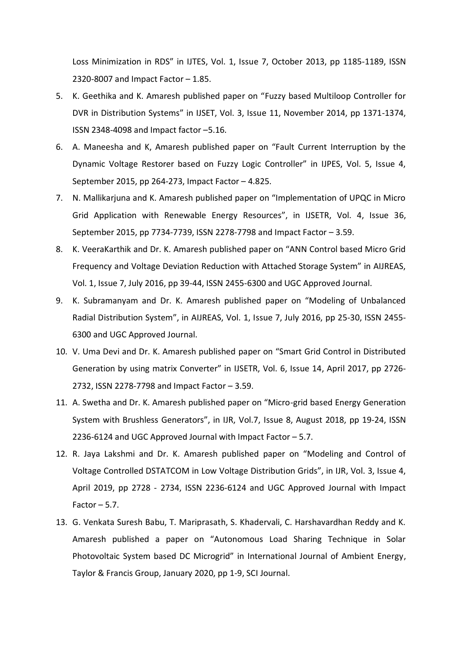Loss Minimization in RDS" in IJTES, Vol. 1, Issue 7, October 2013, pp 1185-1189, ISSN 2320-8007 and Impact Factor – 1.85.

- 5. K. Geethika and K. Amaresh published paper on "Fuzzy based Multiloop Controller for DVR in Distribution Systems" in IJSET, Vol. 3, Issue 11, November 2014, pp 1371-1374, ISSN 2348-4098 and Impact factor –5.16.
- 6. A. Maneesha and K, Amaresh published paper on "Fault Current Interruption by the Dynamic Voltage Restorer based on Fuzzy Logic Controller" in IJPES, Vol. 5, Issue 4, September 2015, pp 264-273, Impact Factor – 4.825.
- 7. N. Mallikarjuna and K. Amaresh published paper on "Implementation of UPQC in Micro Grid Application with Renewable Energy Resources", in IJSETR, Vol. 4, Issue 36, September 2015, pp 7734-7739, ISSN 2278-7798 and Impact Factor – 3.59.
- 8. K. VeeraKarthik and Dr. K. Amaresh published paper on "ANN Control based Micro Grid Frequency and Voltage Deviation Reduction with Attached Storage System" in AIJREAS, Vol. 1, Issue 7, July 2016, pp 39-44, ISSN 2455-6300 and UGC Approved Journal.
- 9. K. Subramanyam and Dr. K. Amaresh published paper on "Modeling of Unbalanced Radial Distribution System", in AIJREAS, Vol. 1, Issue 7, July 2016, pp 25-30, ISSN 2455- 6300 and UGC Approved Journal.
- 10. V. Uma Devi and Dr. K. Amaresh published paper on "Smart Grid Control in Distributed Generation by using matrix Converter" in IJSETR, Vol. 6, Issue 14, April 2017, pp 2726- 2732, ISSN 2278-7798 and Impact Factor – 3.59.
- 11. A. Swetha and Dr. K. Amaresh published paper on "Micro-grid based Energy Generation System with Brushless Generators", in IJR, Vol.7, Issue 8, August 2018, pp 19-24, ISSN 2236-6124 and UGC Approved Journal with Impact Factor – 5.7.
- 12. R. Jaya Lakshmi and Dr. K. Amaresh published paper on "Modeling and Control of Voltage Controlled DSTATCOM in Low Voltage Distribution Grids", in IJR, Vol. 3, Issue 4, April 2019, pp 2728 - 2734, ISSN 2236-6124 and UGC Approved Journal with Impact Factor  $-5.7$ .
- 13. G. Venkata Suresh Babu, T. Mariprasath, S. Khadervali, C. Harshavardhan Reddy and K. Amaresh published a paper on "Autonomous Load Sharing Technique in Solar Photovoltaic System based DC Microgrid" in International Journal of Ambient Energy, Taylor & Francis Group, January 2020, pp 1-9, SCI Journal.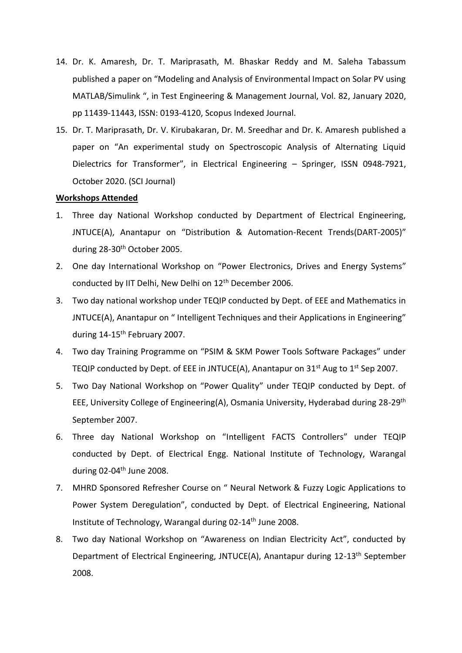- 14. Dr. K. Amaresh, Dr. T. Mariprasath, M. Bhaskar Reddy and M. Saleha Tabassum published a paper on "Modeling and Analysis of Environmental Impact on Solar PV using MATLAB/Simulink ", in Test Engineering & Management Journal, Vol. 82, January 2020, pp 11439-11443, ISSN: 0193-4120, Scopus Indexed Journal.
- 15. Dr. T. Mariprasath, Dr. V. Kirubakaran, Dr. M. Sreedhar and Dr. K. Amaresh published a paper on "An experimental study on Spectroscopic Analysis of Alternating Liquid Dielectrics for Transformer", in Electrical Engineering – Springer, ISSN 0948-7921, October 2020. (SCI Journal)

#### **Workshops Attended**

- 1. Three day National Workshop conducted by Department of Electrical Engineering, JNTUCE(A), Anantapur on "Distribution & Automation-Recent Trends(DART-2005)" during 28-30<sup>th</sup> October 2005.
- 2. One day International Workshop on "Power Electronics, Drives and Energy Systems" conducted by IIT Delhi, New Delhi on 12<sup>th</sup> December 2006.
- 3. Two day national workshop under TEQIP conducted by Dept. of EEE and Mathematics in JNTUCE(A), Anantapur on " Intelligent Techniques and their Applications in Engineering" during 14-15<sup>th</sup> February 2007.
- 4. Two day Training Programme on "PSIM & SKM Power Tools Software Packages" under TEQIP conducted by Dept. of EEE in JNTUCE(A), Anantapur on  $31<sup>st</sup>$  Aug to  $1<sup>st</sup>$  Sep 2007.
- 5. Two Day National Workshop on "Power Quality" under TEQIP conducted by Dept. of EEE, University College of Engineering(A), Osmania University, Hyderabad during 28-29th September 2007.
- 6. Three day National Workshop on "Intelligent FACTS Controllers" under TEQIP conducted by Dept. of Electrical Engg. National Institute of Technology, Warangal during  $02-04^{\text{th}}$  June 2008.
- 7. MHRD Sponsored Refresher Course on " Neural Network & Fuzzy Logic Applications to Power System Deregulation", conducted by Dept. of Electrical Engineering, National Institute of Technology, Warangal during 02-14th June 2008.
- 8. Two day National Workshop on "Awareness on Indian Electricity Act", conducted by Department of Electrical Engineering, JNTUCE(A), Anantapur during 12-13th September 2008.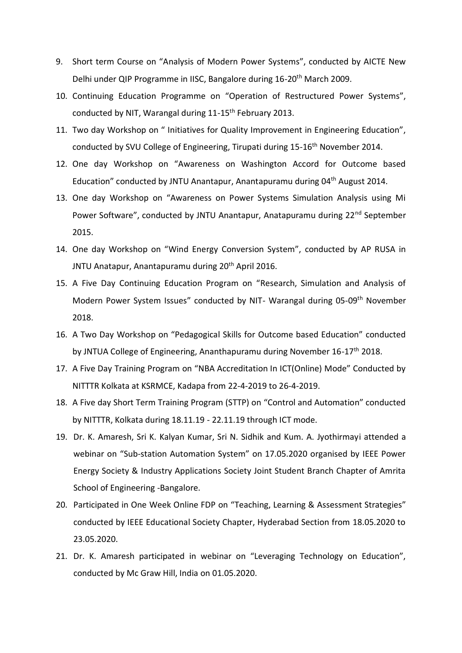- 9. Short term Course on "Analysis of Modern Power Systems", conducted by AICTE New Delhi under QIP Programme in IISC, Bangalore during 16-20<sup>th</sup> March 2009.
- 10. Continuing Education Programme on "Operation of Restructured Power Systems", conducted by NIT, Warangal during 11-15<sup>th</sup> February 2013.
- 11. Two day Workshop on " Initiatives for Quality Improvement in Engineering Education", conducted by SVU College of Engineering, Tirupati during 15-16<sup>th</sup> November 2014.
- 12. One day Workshop on "Awareness on Washington Accord for Outcome based Education" conducted by JNTU Anantapur, Anantapuramu during 04<sup>th</sup> August 2014.
- 13. One day Workshop on "Awareness on Power Systems Simulation Analysis using Mi Power Software", conducted by JNTU Anantapur, Anatapuramu during 22<sup>nd</sup> September 2015.
- 14. One day Workshop on "Wind Energy Conversion System", conducted by AP RUSA in JNTU Anatapur, Anantapuramu during 20<sup>th</sup> April 2016.
- 15. A Five Day Continuing Education Program on "Research, Simulation and Analysis of Modern Power System Issues" conducted by NIT- Warangal during 05-09<sup>th</sup> November 2018.
- 16. A Two Day Workshop on "Pedagogical Skills for Outcome based Education" conducted by JNTUA College of Engineering, Ananthapuramu during November 16-17<sup>th</sup> 2018.
- 17. A Five Day Training Program on "NBA Accreditation In ICT(Online) Mode" Conducted by NITTTR Kolkata at KSRMCE, Kadapa from 22-4-2019 to 26-4-2019.
- 18. A Five day Short Term Training Program (STTP) on "Control and Automation" conducted by NITTTR, Kolkata during 18.11.19 - 22.11.19 through ICT mode.
- 19. Dr. K. Amaresh, Sri K. Kalyan Kumar, Sri N. Sidhik and Kum. A. Jyothirmayi attended a webinar on "Sub-station Automation System" on 17.05.2020 organised by IEEE Power Energy Society & Industry Applications Society Joint Student Branch Chapter of Amrita School of Engineering -Bangalore.
- 20. Participated in One Week Online FDP on "Teaching, Learning & Assessment Strategies" conducted by IEEE Educational Society Chapter, Hyderabad Section from 18.05.2020 to 23.05.2020.
- 21. Dr. K. Amaresh participated in webinar on "Leveraging Technology on Education", conducted by Mc Graw Hill, India on 01.05.2020.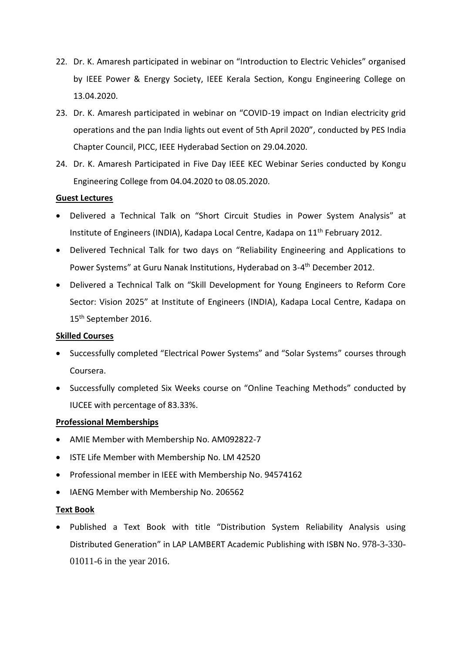- 22. Dr. K. Amaresh participated in webinar on "Introduction to Electric Vehicles" organised by IEEE Power & Energy Society, IEEE Kerala Section, Kongu Engineering College on 13.04.2020.
- 23. Dr. K. Amaresh participated in webinar on "COVID-19 impact on Indian electricity grid operations and the pan India lights out event of 5th April 2020", conducted by PES India Chapter Council, PICC, IEEE Hyderabad Section on 29.04.2020.
- 24. Dr. K. Amaresh Participated in Five Day IEEE KEC Webinar Series conducted by Kongu Engineering College from 04.04.2020 to 08.05.2020.

## **Guest Lectures**

- Delivered a Technical Talk on "Short Circuit Studies in Power System Analysis" at Institute of Engineers (INDIA), Kadapa Local Centre, Kadapa on 11<sup>th</sup> February 2012.
- Delivered Technical Talk for two days on "Reliability Engineering and Applications to Power Systems" at Guru Nanak Institutions, Hyderabad on 3-4<sup>th</sup> December 2012.
- Delivered a Technical Talk on "Skill Development for Young Engineers to Reform Core Sector: Vision 2025" at Institute of Engineers (INDIA), Kadapa Local Centre, Kadapa on 15<sup>th</sup> September 2016.

### **Skilled Courses**

- Successfully completed "Electrical Power Systems" and "Solar Systems" courses through Coursera.
- Successfully completed Six Weeks course on "Online Teaching Methods" conducted by IUCEE with percentage of 83.33%.

### **Professional Memberships**

- AMIE Member with Membership No. AM092822-7
- ISTE Life Member with Membership No. LM 42520
- Professional member in IEEE with Membership No. 94574162
- IAENG Member with Membership No. 206562

# **Text Book**

 Published a Text Book with title "Distribution System Reliability Analysis using Distributed Generation" in LAP LAMBERT Academic Publishing with ISBN No. 978-3-330- 01011-6 in the year 2016.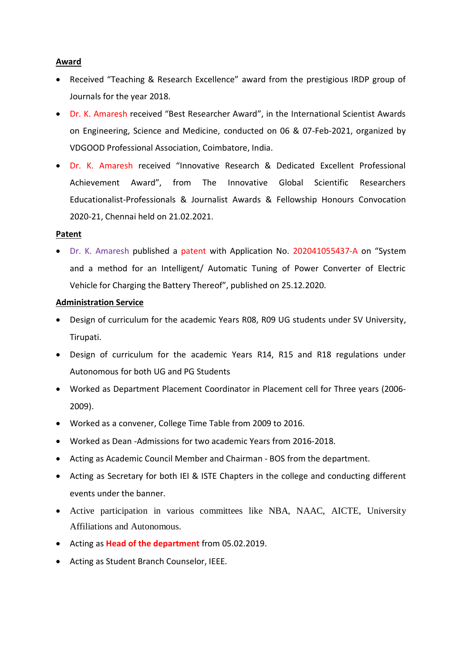# **Award**

- Received "Teaching & Research Excellence" award from the prestigious IRDP group of Journals for the year 2018.
- Dr. K. Amaresh received "Best Researcher Award", in the International Scientist Awards on Engineering, Science and Medicine, conducted on 06 & 07-Feb-2021, organized by VDGOOD Professional Association, Coimbatore, India.
- Dr. K. Amaresh received "Innovative Research & Dedicated Excellent Professional Achievement Award", from The Innovative Global Scientific Researchers Educationalist-Professionals & Journalist Awards & Fellowship Honours Convocation 2020-21, Chennai held on 21.02.2021.

# **Patent**

 Dr. K. Amaresh published a patent with Application No. 202041055437-A on "System and a method for an Intelligent/ Automatic Tuning of Power Converter of Electric Vehicle for Charging the Battery Thereof", published on 25.12.2020.

# **Administration Service**

- Design of curriculum for the academic Years R08, R09 UG students under SV University, Tirupati.
- Design of curriculum for the academic Years R14, R15 and R18 regulations under Autonomous for both UG and PG Students
- Worked as Department Placement Coordinator in Placement cell for Three years (2006- 2009).
- Worked as a convener, College Time Table from 2009 to 2016.
- Worked as Dean -Admissions for two academic Years from 2016-2018.
- Acting as Academic Council Member and Chairman BOS from the department.
- Acting as Secretary for both IEI & ISTE Chapters in the college and conducting different events under the banner.
- Active participation in various committees like NBA, NAAC, AICTE, University Affiliations and Autonomous.
- Acting as **Head of the department** from 05.02.2019.
- Acting as Student Branch Counselor, IEEE.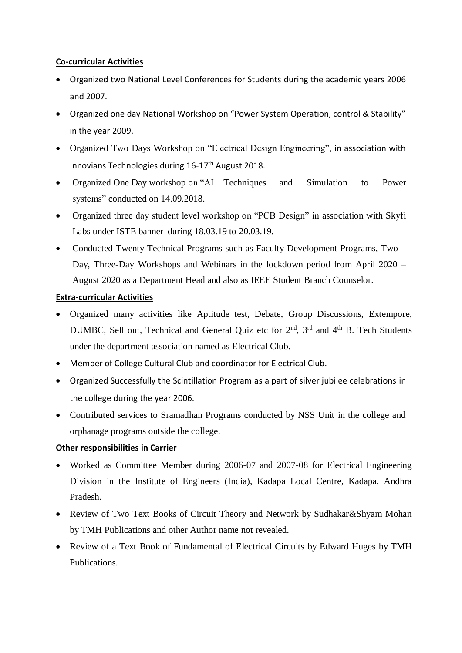# **Co-curricular Activities**

- Organized two National Level Conferences for Students during the academic years 2006 and 2007.
- Organized one day National Workshop on "Power System Operation, control & Stability" in the year 2009.
- Organized Two Days Workshop on "Electrical Design Engineering", in association with Innovians Technologies during 16-17<sup>th</sup> August 2018.
- Organized One Day workshop on "AI Techniques and Simulation to Power systems" conducted on 14.09.2018.
- Organized three day student level workshop on "PCB Design" in association with Skyfi Labs under ISTE banner during 18.03.19 to 20.03.19.
- Conducted Twenty Technical Programs such as Faculty Development Programs, Two Day, Three-Day Workshops and Webinars in the lockdown period from April 2020 – August 2020 as a Department Head and also as IEEE Student Branch Counselor.

# **Extra-curricular Activities**

- Organized many activities like Aptitude test, Debate, Group Discussions, Extempore, DUMBC, Sell out, Technical and General Quiz etc for 2<sup>nd</sup>, 3<sup>rd</sup> and 4<sup>th</sup> B. Tech Students under the department association named as Electrical Club.
- Member of College Cultural Club and coordinator for Electrical Club.
- Organized Successfully the Scintillation Program as a part of silver jubilee celebrations in the college during the year 2006.
- Contributed services to Sramadhan Programs conducted by NSS Unit in the college and orphanage programs outside the college.

# **Other responsibilities in Carrier**

- Worked as Committee Member during 2006-07 and 2007-08 for Electrical Engineering Division in the Institute of Engineers (India), Kadapa Local Centre, Kadapa, Andhra Pradesh.
- Review of Two Text Books of Circuit Theory and Network by Sudhakar&Shyam Mohan by TMH Publications and other Author name not revealed.
- Review of a Text Book of Fundamental of Electrical Circuits by Edward Huges by TMH Publications.